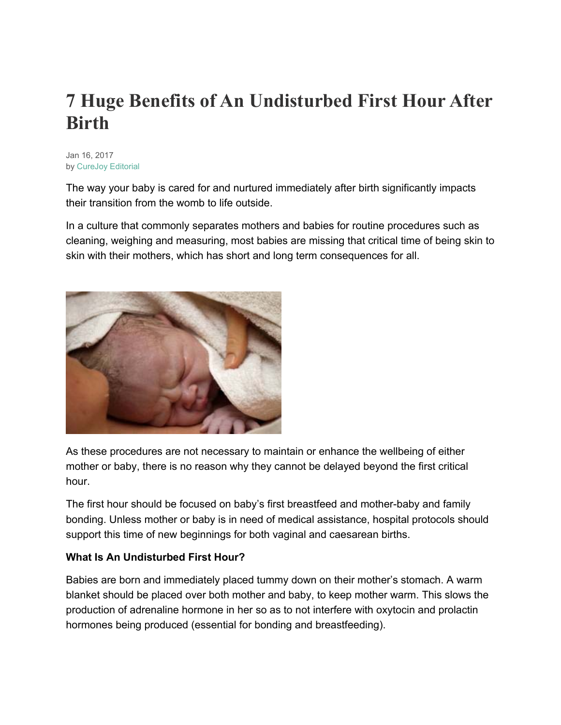# **7 Huge Benefits of An Undisturbed First Hour After Birth**

Jan 16, 2017 by CureJoy Editorial

The way your baby is cared for and nurtured immediately after birth significantly impacts their transition from the womb to life outside.

In a culture that commonly separates mothers and babies for routine procedures such as cleaning, weighing and measuring, most babies are missing that critical time of being skin to skin with their mothers, which has short and long term consequences for all.



As these procedures are not necessary to maintain or enhance the wellbeing of either mother or baby, there is no reason why they cannot be delayed beyond the first critical hour.

The first hour should be focused on baby's first breastfeed and mother-baby and family bonding. Unless mother or baby is in need of medical assistance, hospital protocols should support this time of new beginnings for both vaginal and caesarean births.

## **What Is An Undisturbed First Hour?**

Babies are born and immediately placed tummy down on their mother's stomach. A warm blanket should be placed over both mother and baby, to keep mother warm. This slows the production of adrenaline hormone in her so as to not interfere with oxytocin and prolactin hormones being produced (essential for bonding and breastfeeding).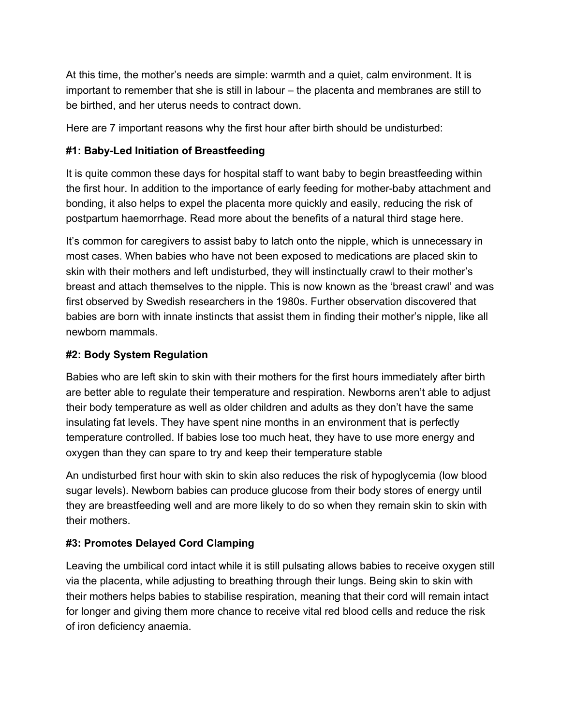At this time, the mother's needs are simple: warmth and a quiet, calm environment. It is important to remember that she is still in labour – the placenta and membranes are still to be birthed, and her uterus needs to contract down.

Here are 7 important reasons why the first hour after birth should be undisturbed:

## **#1: Baby-Led Initiation of Breastfeeding**

It is quite common these days for hospital staff to want baby to begin breastfeeding within the first hour. In addition to the importance of early feeding for mother-baby attachment and bonding, it also helps to expel the placenta more quickly and easily, reducing the risk of postpartum haemorrhage. Read more about the benefits of a natural third stage here.

It's common for caregivers to assist baby to latch onto the nipple, which is unnecessary in most cases. When babies who have not been exposed to medications are placed skin to skin with their mothers and left undisturbed, they will instinctually crawl to their mother's breast and attach themselves to the nipple. This is now known as the 'breast crawl' and was first observed by Swedish researchers in the 1980s. Further observation discovered that babies are born with innate instincts that assist them in finding their mother's nipple, like all newborn mammals.

### **#2: Body System Regulation**

Babies who are left skin to skin with their mothers for the first hours immediately after birth are better able to regulate their temperature and respiration. Newborns aren't able to adjust their body temperature as well as older children and adults as they don't have the same insulating fat levels. They have spent nine months in an environment that is perfectly temperature controlled. If babies lose too much heat, they have to use more energy and oxygen than they can spare to try and keep their temperature stable

An undisturbed first hour with skin to skin also reduces the risk of hypoglycemia (low blood sugar levels). Newborn babies can produce glucose from their body stores of energy until they are breastfeeding well and are more likely to do so when they remain skin to skin with their mothers.

## **#3: Promotes Delayed Cord Clamping**

Leaving the umbilical cord intact while it is still pulsating allows babies to receive oxygen still via the placenta, while adjusting to breathing through their lungs. Being skin to skin with their mothers helps babies to stabilise respiration, meaning that their cord will remain intact for longer and giving them more chance to receive vital red blood cells and reduce the risk of iron deficiency anaemia.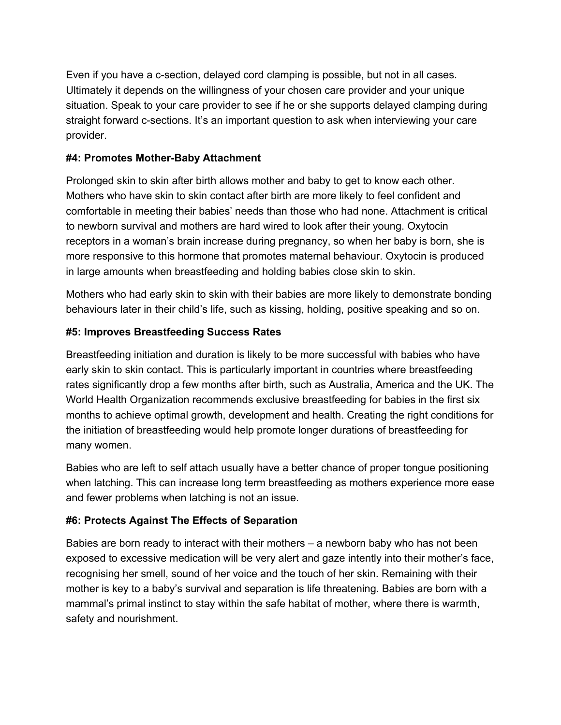Even if you have a c-section, delayed cord clamping is possible, but not in all cases. Ultimately it depends on the willingness of your chosen care provider and your unique situation. Speak to your care provider to see if he or she supports delayed clamping during straight forward c-sections. It's an important question to ask when interviewing your care provider.

#### **#4: Promotes Mother-Baby Attachment**

Prolonged skin to skin after birth allows mother and baby to get to know each other. Mothers who have skin to skin contact after birth are more likely to feel confident and comfortable in meeting their babies' needs than those who had none. Attachment is critical to newborn survival and mothers are hard wired to look after their young. Oxytocin receptors in a woman's brain increase during pregnancy, so when her baby is born, she is more responsive to this hormone that promotes maternal behaviour. Oxytocin is produced in large amounts when breastfeeding and holding babies close skin to skin.

Mothers who had early skin to skin with their babies are more likely to demonstrate bonding behaviours later in their child's life, such as kissing, holding, positive speaking and so on.

### **#5: Improves Breastfeeding Success Rates**

Breastfeeding initiation and duration is likely to be more successful with babies who have early skin to skin contact. This is particularly important in countries where breastfeeding rates significantly drop a few months after birth, such as Australia, America and the UK. The World Health Organization recommends exclusive breastfeeding for babies in the first six months to achieve optimal growth, development and health. Creating the right conditions for the initiation of breastfeeding would help promote longer durations of breastfeeding for many women.

Babies who are left to self attach usually have a better chance of proper tongue positioning when latching. This can increase long term breastfeeding as mothers experience more ease and fewer problems when latching is not an issue.

### **#6: Protects Against The Effects of Separation**

Babies are born ready to interact with their mothers – a newborn baby who has not been exposed to excessive medication will be very alert and gaze intently into their mother's face, recognising her smell, sound of her voice and the touch of her skin. Remaining with their mother is key to a baby's survival and separation is life threatening. Babies are born with a mammal's primal instinct to stay within the safe habitat of mother, where there is warmth, safety and nourishment.